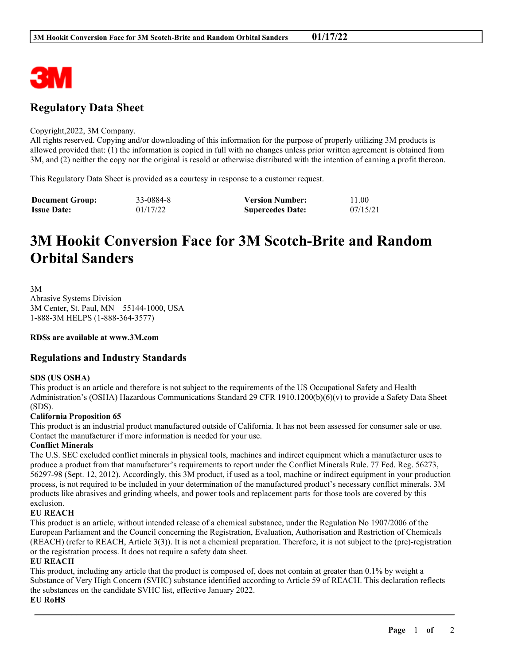

# **Regulatory Data Sheet**

#### Copyright,2022, 3M Company.

All rights reserved. Copying and/or downloading of this information for the purpose of properly utilizing 3M products is allowed provided that: (1) the information is copied in full with no changes unless prior written agreement is obtained from 3M, and (2) neither the copy nor the original is resold or otherwise distributed with the intention of earning a profit thereon.

This Regulatory Data Sheet is provided as a courtesy in response to a customer request.

| <b>Document Group:</b> | 33-0884-8 | <b>Version Number:</b>  | 11.00    |
|------------------------|-----------|-------------------------|----------|
| <b>Issue Date:</b>     | 01/17/22  | <b>Supercedes Date:</b> | 07/15/21 |

# **3M Hookit Conversion Face for 3M Scotch-Brite and Random Orbital Sanders**

3M

Abrasive Systems Division 3M Center, St. Paul, MN 55144-1000, USA 1-888-3M HELPS (1-888-364-3577)

#### **RDSs are available at www.3M.com**

## **Regulations and Industry Standards**

#### **SDS (US OSHA)**

This product is an article and therefore is not subject to the requirements of the US Occupational Safety and Health Administration's (OSHA) Hazardous Communications Standard 29 CFR 1910.1200(b)(6)(v) to provide a Safety Data Sheet (SDS).

#### **California Proposition 65**

This product is an industrial product manufactured outside of California. It has not been assessed for consumer sale or use. Contact the manufacturer if more information is needed for your use.

#### **Conflict Minerals**

The U.S. SEC excluded conflict minerals in physical tools, machines and indirect equipment which a manufacturer uses to produce a product from that manufacturer's requirements to report under the Conflict Minerals Rule. 77 Fed. Reg. 56273, 56297-98 (Sept. 12, 2012). Accordingly, this 3M product, if used as a tool, machine or indirect equipment in your production process, is not required to be included in your determination of the manufactured product's necessary conflict minerals. 3M products like abrasives and grinding wheels, and power tools and replacement parts for those tools are covered by this exclusion.

### **EU REACH**

This product is an article, without intended release of a chemical substance, under the Regulation No 1907/2006 of the European Parliament and the Council concerning the Registration, Evaluation, Authorisation and Restriction of Chemicals (REACH) (refer to REACH, Article 3(3)). It is not a chemical preparation. Therefore, it is not subject to the (pre)-registration or the registration process. It does not require a safety data sheet.

#### **EU REACH**

This product, including any article that the product is composed of, does not contain at greater than 0.1% by weight a Substance of Very High Concern (SVHC) substance identified according to Article 59 of REACH. This declaration reflects the substances on the candidate SVHC list, effective January 2022.

\_\_\_\_\_\_\_\_\_\_\_\_\_\_\_\_\_\_\_\_\_\_\_\_\_\_\_\_\_\_\_\_\_\_\_\_\_\_\_\_\_\_\_\_\_\_\_\_\_\_\_\_\_\_\_\_\_\_\_\_\_\_\_\_\_\_\_\_\_\_\_\_\_\_\_\_\_\_\_\_\_\_\_\_\_\_\_\_\_\_

**EU RoHS**